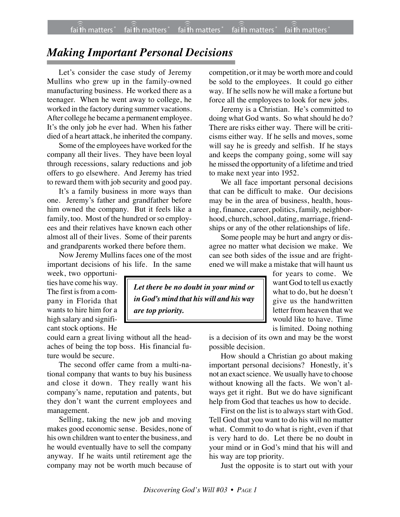## *Making Important Personal Decisions*

Let's consider the case study of Jeremy Mullins who grew up in the family-owned manufacturing business. He worked there as a teenager. When he went away to college, he worked in the factory during summer vacations. After college he became a permanent employee. It's the only job he ever had. When his father died of a heart attack, he inherited the company.

Some of the employees have worked for the company all their lives. They have been loyal through recessions, salary reductions and job offers to go elsewhere. And Jeremy has tried to reward them with job security and good pay.

It's a family business in more ways than one. Jeremy's father and grandfather before him owned the company. But it feels like a family, too. Most of the hundred or so employees and their relatives have known each other almost all of their lives. Some of their parents and grandparents worked there before them.

Now Jeremy Mullins faces one of the most important decisions of his life. In the same

week, two opportunities have come his way. The first is from a company in Florida that wants to hire him for a high salary and significant stock options. He

could earn a great living without all the headaches of being the top boss. His financial future would be secure.

The second offer came from a multi-national company that wants to buy his business and close it down. They really want his company's name, reputation and patents, but they don't want the current employees and management.

Selling, taking the new job and moving makes good economic sense. Besides, none of his own children want to enter the business, and he would eventually have to sell the company anyway. If he waits until retirement age the company may not be worth much because of

competition, or it may be worth more and could be sold to the employees. It could go either way. If he sells now he will make a fortune but force all the employees to look for new jobs.

Jeremy is a Christian. He's committed to doing what God wants. So what should he do? There are risks either way. There will be criticisms either way. If he sells and moves, some will say he is greedy and selfish. If he stays and keeps the company going, some will say he missed the opportunity of a lifetime and tried to make next year into 1952.

We all face important personal decisions that can be difficult to make. Our decisions may be in the area of business, health, housing, finance, career, politics, family, neighborhood, church, school, dating, marriage, friendships or any of the other relationships of life.

Some people may be hurt and angry or disagree no matter what decision we make. We can see both sides of the issue and are frightened we will make a mistake that will haunt us

*Let there be no doubt in your mind or in God's mind that his will and his way are top priority.*

for years to come. We want God to tell us exactly what to do, but he doesn't give us the handwritten letter from heaven that we would like to have. Time is limited. Doing nothing

is a decision of its own and may be the worst possible decision.

How should a Christian go about making important personal decisions? Honestly, it's not an exact science. We usually have to choose without knowing all the facts. We won't always get it right. But we do have significant help from God that teaches us how to decide.

First on the list is to always start with God. Tell God that you want to do his will no matter what. Commit to do what is right, even if that is very hard to do. Let there be no doubt in your mind or in God's mind that his will and his way are top priority.

Just the opposite is to start out with your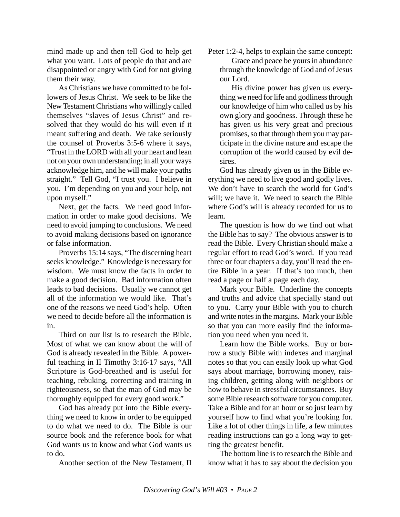mind made up and then tell God to help get what you want. Lots of people do that and are disappointed or angry with God for not giving them their way.

As Christians we have committed to be followers of Jesus Christ. We seek to be like the New Testament Christians who willingly called themselves "slaves of Jesus Christ" and resolved that they would do his will even if it meant suffering and death. We take seriously the counsel of Proverbs 3:5-6 where it says, "Trust in the LORD with all your heart and lean not on your own understanding; in all your ways acknowledge him, and he will make your paths straight." Tell God, "I trust you. I believe in you. I'm depending on you and your help, not upon myself."

Next, get the facts. We need good information in order to make good decisions. We need to avoid jumping to conclusions. We need to avoid making decisions based on ignorance or false information.

Proverbs 15:14 says, "The discerning heart seeks knowledge." Knowledge is necessary for wisdom. We must know the facts in order to make a good decision. Bad information often leads to bad decisions. Usually we cannot get all of the information we would like. That's one of the reasons we need God's help. Often we need to decide before all the information is in.

Third on our list is to research the Bible. Most of what we can know about the will of God is already revealed in the Bible. A powerful teaching in II Timothy 3:16-17 says, "All Scripture is God-breathed and is useful for teaching, rebuking, correcting and training in righteousness, so that the man of God may be thoroughly equipped for every good work."

God has already put into the Bible everything we need to know in order to be equipped to do what we need to do. The Bible is our source book and the reference book for what God wants us to know and what God wants us to do.

Another section of the New Testament, II

Peter 1:2-4, helps to explain the same concept:

Grace and peace be yours in abundance through the knowledge of God and of Jesus our Lord.

His divine power has given us everything we need for life and godliness through our knowledge of him who called us by his own glory and goodness. Through these he has given us his very great and precious promises, so that through them you may participate in the divine nature and escape the corruption of the world caused by evil desires.

God has already given us in the Bible everything we need to live good and godly lives. We don't have to search the world for God's will; we have it. We need to search the Bible where God's will is already recorded for us to learn.

The question is how do we find out what the Bible has to say? The obvious answer is to read the Bible. Every Christian should make a regular effort to read God's word. If you read three or four chapters a day, you'll read the entire Bible in a year. If that's too much, then read a page or half a page each day.

Mark your Bible. Underline the concepts and truths and advice that specially stand out to you. Carry your Bible with you to church and write notes in the margins. Mark your Bible so that you can more easily find the information you need when you need it.

Learn how the Bible works. Buy or borrow a study Bible with indexes and marginal notes so that you can easily look up what God says about marriage, borrowing money, raising children, getting along with neighbors or how to behave in stressful circumstances. Buy some Bible research software for you computer. Take a Bible and for an hour or so just learn by yourself how to find what you're looking for. Like a lot of other things in life, a few minutes reading instructions can go a long way to getting the greatest benefit.

The bottom line is to research the Bible and know what it has to say about the decision you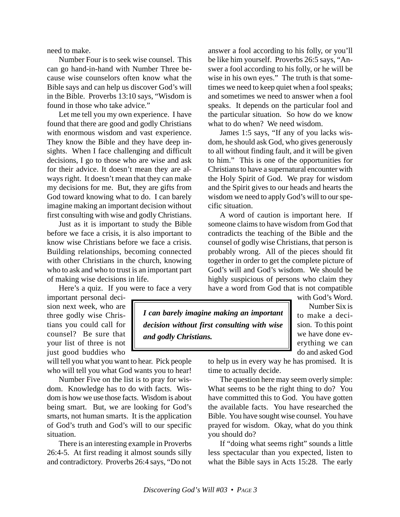need to make.

Number Four is to seek wise counsel. This can go hand-in-hand with Number Three because wise counselors often know what the Bible says and can help us discover God's will in the Bible. Proverbs 13:10 says, "Wisdom is found in those who take advice*.*"

Let me tell you my own experience. I have found that there are good and godly Christians with enormous wisdom and vast experience. They know the Bible and they have deep insights. When I face challenging and difficult decisions, I go to those who are wise and ask for their advice. It doesn't mean they are always right. It doesn't mean that they can make my decisions for me. But, they are gifts from God toward knowing what to do. I can barely imagine making an important decision without first consulting with wise and godly Christians.

Just as it is important to study the Bible before we face a crisis, it is also important to know wise Christians before we face a crisis. Building relationships, becoming connected with other Christians in the church, knowing who to ask and who to trust is an important part of making wise decisions in life.

Here's a quiz. If you were to face a very

important personal decision next week, who are three godly wise Christians you could call for counsel? Be sure that your list of three is not just good buddies who

will tell you what you want to hear. Pick people who will tell you what God wants you to hear!

Number Five on the list is to pray for wisdom. Knowledge has to do with facts. Wisdom is how we use those facts. Wisdom is about being smart. But, we are looking for God's smarts, not human smarts. It is the application of God's truth and God's will to our specific situation.

There is an interesting example in Proverbs 26:4-5. At first reading it almost sounds silly and contradictory. Proverbs 26:4 says, "Do not answer a fool according to his folly, or you'll be like him yourself. Proverbs 26:5 says, "Answer a fool according to his folly, or he will be wise in his own eyes." The truth is that sometimes we need to keep quiet when a fool speaks; and sometimes we need to answer when a fool speaks. It depends on the particular fool and the particular situation. So how do we know what to do when? We need wisdom.

James 1:5 says, "If any of you lacks wisdom, he should ask God, who gives generously to all without finding fault, and it will be given to him." This is one of the opportunities for Christians to have a supernatural encounter with the Holy Spirit of God. We pray for wisdom and the Spirit gives to our heads and hearts the wisdom we need to apply God's will to our specific situation.

A word of caution is important here. If someone claims to have wisdom from God that contradicts the teaching of the Bible and the counsel of godly wise Christians, that person is probably wrong. All of the pieces should fit together in order to get the complete picture of God's will and God's wisdom. We should be highly suspicious of persons who claim they have a word from God that is not compatible

*I can barely imagine making an important decision without first consulting with wise and godly Christians.*

with God's Word. Number Six is to make a decision. To this point we have done everything we can do and asked God

to help us in every way he has promised. It is time to actually decide.

The question here may seem overly simple: What seems to be the right thing to do? You have committed this to God. You have gotten the available facts. You have researched the Bible. You have sought wise counsel. You have prayed for wisdom. Okay, what do you think you should do?

If "doing what seems right" sounds a little less spectacular than you expected, listen to what the Bible says in Acts 15:28. The early